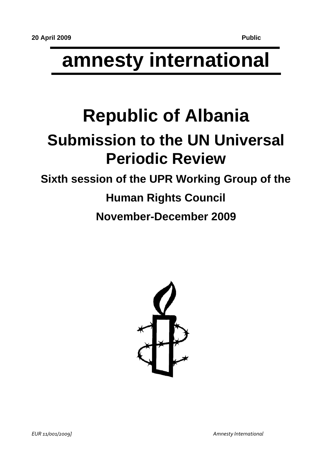# **amnesty international**

## **Republic of Albania Submission to the UN Universal Periodic Review**

### **Sixth session of the UPR Working Group of the Human Rights Council November-December 2009**

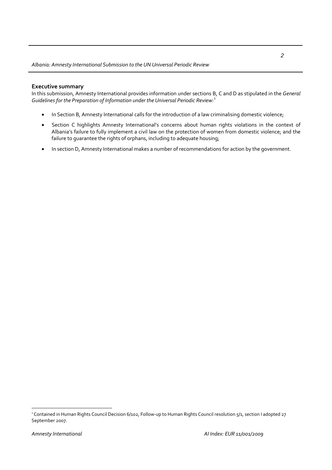#### **Executive summary**

In this submission, Amnesty International provides information under sections B, C and D as stipulated in the *General Guidelines for the Preparation of Information under the Universal Periodic Review:*[1](#page-1-0)

- In Section B, Amnesty International calls for the introduction of a law criminalising domestic violence;
- Section C highlights Amnesty International's concerns about human rights violations in the context of Albania's failure to fully implement a civil law on the protection of women from domestic violence; and the failure to guarantee the rights of orphans, including to adequate housing;
- In section D, Amnesty International makes a number of recommendations for action by the government.

<span id="page-1-0"></span><sup>1</sup> Contained in Human Rights Council Decision 6/102, Follow‐up to Human Rights Council resolution 5/1, section I adopted 27 September 2007.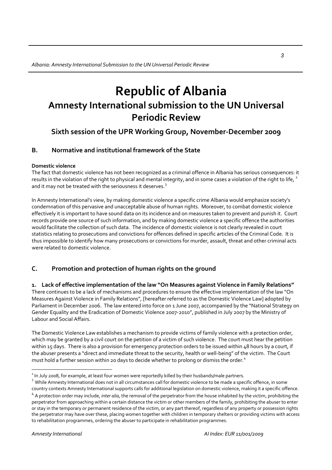### **Republic of Albania Amnesty International submission to the UN Universal Periodic Review**

#### **Sixth session of the UPR Working Group, November‐December 2009**

#### **B. Normative and institutional framework of the State**

#### **Domestic violence**

The fact that domestic violence has not been recognized as a criminal offence in Albania has serious consequences: it results in the violation of the right to physical and mental integrity, and in some cases a violation of the right to life,  $2$ and it may not be treated with the seriousness it deserves.<sup>[3](#page-2-1)</sup>

In Amnesty International's view, by making domestic violence a specific crime Albania would emphasize society's condemnation of this pervasive and unacceptable abuse of human rights. Moreover, to combat domestic violence effectively it is important to have sound data on its incidence and on measures taken to prevent and punish it. Court records provide one source of such information, and by making domestic violence a specific offence the authorities would facilitate the collection of such data. The incidence of domestic violence is not clearly revealed in court statistics relating to prosecutions and convictions for offences defined in specific articles of the Criminal Code. It is thus impossible to identify how many prosecutions or convictions for murder, assault, threat and other criminal acts were related to domestic violence.

#### **C. Promotion and protection of human rights on the ground**

#### **1. Lack of effective implementation of the law "On Measures against Violence in Family Relations"**

There continues to be a lack of mechanisms and procedures to ensure the effective implementation of the law "On Measures Against Violence in Family Relations", [hereafter referred to as the Domestic Violence Law] adopted by Parliament in December 2006. The law entered into force on 1 June 2007, accompanied by the "National Strategy on Gender Equality and the Eradication of Domestic Violence 2007‐2010", published in July 2007 by the Ministry of Labour and Social Affairs.

The Domestic Violence Law establishes a mechanism to provide victims of family violence with a protection order, which may be granted by a civil court on the petition of a victim of such violence. The court must hear the petition within 15 days. There is also a provision for emergency protection orders to be issued within 48 hours by a court, if the abuser presents a "direct and immediate threat to the security, health or well-being" of the victim. The Court must hold a further session within 20 days to decide whether to prolong or dismiss the order.<sup>[4](#page-2-2)</sup>

<span id="page-2-1"></span><span id="page-2-0"></span> $^2$  In July 2008, for example, at least four women were reportedly killed by their husbands/male partners.<br>
<sup>3</sup> While Amnesty International does not in all circumstances call for domestic violence to be made a specific o country contexts Amnesty International supports calls for additional legislation on domestic violence, making it a specific offence.

<span id="page-2-2"></span><sup>4</sup> A protection order may include, *inter alia*, the removal of the perpetrator from the house inhabited by the victim, prohibiting the perpetrator from approaching within a certain distance the victim or other members of the family, prohibiting the abuser to enter or stay in the temporary or permanent residence of the victim, or any part thereof, regardless of any property or possession rights the perpetrator may have over these, placing women together with children in temporary shelters or providing victims with access to rehabilitation programmes, ordering the abuser to participate in rehabilitation programmes.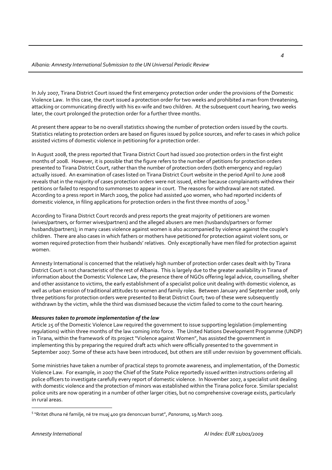In July 2007, Tirana District Court issued the first emergency protection order under the provisions of the Domestic Violence Law. In this case, the court issued a protection order for two weeks and prohibited a man from threatening, attacking or communicating directly with his ex-wife and two children. At the subsequent court hearing, two weeks later, the court prolonged the protection order for a further three months.

At present there appear to be no overall statistics showing the number of protection orders issued by the courts. Statistics relating to protection orders are based on figures issued by police sources, and refer to cases in which police assisted victims of domestic violence in petitioning for a protection order.

In August 2008, the press reported that Tirana District Court had issued 200 protection orders in the first eight months of 2008. However, it is possible that the figure refers to the number of petitions for protection orders presented to Tirana District Court, rather than the number of protection orders (both emergency and regular) actually issued. An examination of cases listed on Tirana District Court website in the period April to June 2008 reveals that in the majority of cases protection orders were not issued, either because complainants withdrew their petitions or failed to respond to summonses to appear in court. The reasons for withdrawal are not stated. According to a press report in March 2009, the police had assisted 400 women, who had reported incidents of domestic violence, in filing applications for protection orders in the first three months of 2009.<sup>[5](#page-3-0)</sup>

According to Tirana District Court records and press reports the great majority of petitioners are women (wives/partners, or former wives/partners) and the alleged abusers are men (husbands/partners or former husbands/partners); in many cases violence against women is also accompanied by violence against the couple's children. There are also cases in which fathers or mothers have petitioned for protection against violent sons, or women required protection from their husbands' relatives. Only exceptionally have men filed for protection against women.

Amnesty International is concerned that the relatively high number of protection order cases dealt with by Tirana District Court is not characteristic of the rest of Albania. This is largely due to the greater availability in Tirana of information about the Domestic Violence Law, the presence there of NGOs offering legal advice, counselling, shelter and other assistance to victims, the early establishment of a specialist police unit dealing with domestic violence, as well as urban erosion of traditional attitudes to women and family roles. Between January and September 2008, only three petitions for protection orders were presented to Berat District Court; two of these were subsequently withdrawn by the victim, while the third was dismissed because the victim failed to come to the court hearing.

#### *Measures taken to promote implementation of the law*

Article 25 of the Domestic Violence Law required the government to issue supporting legislation (implementing regulations) within three months of the law coming into force. The United Nations Development Programme (UNDP) in Tirana, within the framework of its project "Violence against Women", has assisted the government in implementing this by preparing the required draft acts which were officially presented to the government in September 2007. Some of these acts have been introduced, but others are still under revision by government officials.

Some ministries have taken a number of practical steps to promote awareness, and implementation, of the Domestic Violence Law. For example, in 2007 the Chief of the State Police reportedly issued written instructions ordering all police officers to investigate carefully every report of domestic violence. In November 2007, a specialist unit dealing with domestic violence and the protection of minors was established within the Tirana police force. Similar specialist police units are now operating in a number of other larger cities, but no comprehensive coverage exists, particularly in rural areas.

<span id="page-3-0"></span><sup>5</sup> "Rritet dhuna në familje, në tre muaj 400 gra denoncuan burrat", *Panorama*, 19 March 2009.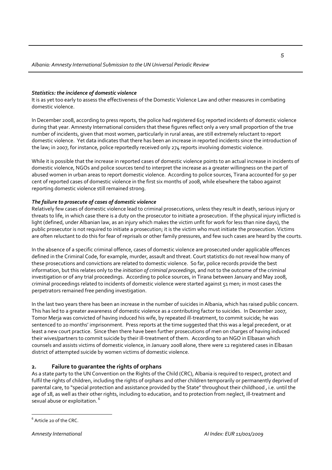#### *Statistics: the incidence of domestic violence*

It is as yet too early to assess the effectiveness of the Domestic Violence Law and other measures in combating domestic violence.

In December 2008, according to press reports, the police had registered 615 reported incidents of domestic violence during that year. Amnesty International considers that these figures reflect only a very small proportion of the true number of incidents, given that most women, particularly in rural areas, are still extremely reluctant to report domestic violence. Yet data indicates that there has been an increase in reported incidents since the introduction of the law; in 2007, for instance, police reportedly received only 274 reports involving domestic violence.

While it is possible that the increase in reported cases of domestic violence points to an actual increase in incidents of domestic violence, NGOs and police sources tend to interpret the increase as a greater willingness on the part of abused women in urban areas to report domestic violence. According to police sources, Tirana accounted for 50 per cent of reported cases of domestic violence in the first six months of 2008, while elsewhere the taboo against reporting domestic violence still remained strong.

#### *The failure to prosecute of cases of domestic violence*

Relatively few cases of domestic violence lead to criminal prosecutions, unless they result in death, serious injury or threats to life, in which case there is a duty on the prosecutor to initiate a prosecution. If the physical injury inflicted is light (defined, under Albanian law, as an injury which makes the victim unfit for work for less than nine days), the public prosecutor is not required to initiate a prosecution; it is the victim who must initiate the prosecution. Victims are often reluctant to do this for fear of reprisals or other family pressures, and few such cases are heard by the courts.

In the absence of a specific criminal offence, cases of domestic violence are prosecuted under applicable offences defined in the Criminal Code, for example, murder, assault and threat. Court statistics do not reveal how many of these prosecutions and convictions are related to domestic violence. So far, police records provide the best information, but this relates only to the *initiation of criminal proceedings*, and not to the outcome of the criminal investigation or of any trial proceedings. According to police sources, in Tirana between January and May 2008, criminal proceedings related to incidents of domestic violence were started against 51 men; in most cases the perpetrators remained free pending investigation.

In the last two years there has been an increase in the number of suicides in Albania, which has raised public concern. This has led to a greater awareness of domestic violence as a contributing factor to suicides. In December 2007, Tomor Merja was convicted of having induced his wife, by repeated ill‐treatment, to commit suicide; he was sentenced to 20 months' imprisonment. Press reports at the time suggested that this was a legal precedent, or at least a new court practice. Since then there have been further prosecutions of men on charges of having induced their wives/partners to commit suicide by their ill‐treatment of them. According to an NGO in Elbasan which counsels and assists victims of domestic violence, in January 2008 alone, there were 12 registered cases in Elbasan district of attempted suicide by women victims of domestic violence.

#### **2. Failure to guarantee the rights of orphans**

As a state party to the UN Convention on the Rights of the Child (CRC), Albania is required to respect, protect and fulfil the rights of children, including the rights of orphans and other children temporarily or permanently deprived of parental care, to "special protection and assistance provided by the State" throughout their childhood, i.e. until the age of 18, as well as their other rights, including to education, and to protection from neglect, ill-treatment and sexual abuse or exploitation.<sup>[6](#page-4-0)</sup>

<span id="page-4-0"></span> $\overline{a}$  $^6$  Article 20 of the CRC.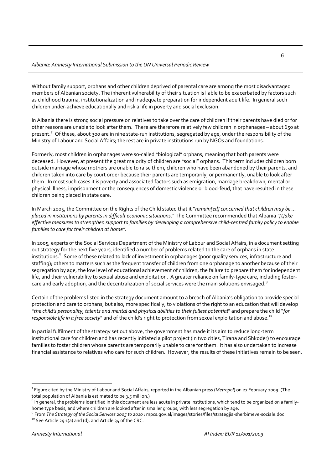Without family support, orphans and other children deprived of parental care are among the most disadvantaged members of Albanian society. The inherent vulnerability of their situation is liable to be exacerbated by factors such as childhood trauma, institutionalization and inadequate preparation for independent adult life. In general such children under‐achieve educationally and risk a life in poverty and social exclusion.

In Albania there is strong social pressure on relatives to take over the care of children if their parents have died or for other reasons are unable to look after them. There are therefore relatively few children in orphanages – about 650 at present.<sup>[7](#page-5-0)</sup> Of these, about 300 are in nine state-run institutions, segregated by age, under the responsibility of the Ministry of Labour and Social Affairs; the rest are in private institutions run by NGOs and foundations.

Formerly, most children in orphanages were so‐called "biological" orphans, meaning that both parents were deceased. However, at present the great majority of children are "social" orphans. This term includes children born outside marriage whose mothers are unable to raise them, children who have been abandoned by their parents, and children taken into care by court order because their parents are temporarily, or permanently, unable to look after them. In most such cases it is poverty and associated factors such as emigration, marriage breakdown, mental or physical illness, imprisonment or the consequences of domestic violence or blood‐feud, that have resulted in these children being placed in state care.

In March 2005, the Committee on the Rights of the Child stated that it "*remain[ed] concerned that children may be … placed in institutions by parents in difficult economic situations*." The Committee recommended that Albania *"[t]ake* effective measures to strengthen support to families by developing a comprehensive child-centred family policy to enable *families to care for their children at home".*

In 2005, experts of the Social Services Department of the Ministry of Labour and Social Affairs, in a document setting out strategy for the next five years, identified a number of problems related to the care of orphans in state institutions.<sup>[8](#page-5-1)</sup> Some of these related to lack of investment in orphanages (poor quality services, infrastructure and staffing); others to matters such as the frequent transfer of children from one orphanage to another because of their segregation by age, the low level of educational achievement of children, the failure to prepare them for independent life, and their vulnerability to sexual abuse and exploitation. A greater reliance on family-type care, including foster-care and early adoption, and the decentralization of social services were the main solutions envisaged.<sup>[9](#page-5-2)</sup>

Certain of the problems listed in the strategy document amount to a breach of Albania's obligation to provide special protection and care to orphans, but also, more specifically, to violations of the right to an education that will develop "*the child's personality, talents and mental and physical abilities to their fullest potential*" and prepare the child "*for responsible life in a free society*" and of the child's right to protection from sexual exploitation and abuse.<sup>[10](#page-5-3)</sup>

In partial fulfilment of the strategy set out above, the government has made it its aim to reduce long‐term institutional care for children and has recently initiated a pilot project (in two cities, Tirana and Shkoder) to encourage families to foster children whose parents are temporarily unable to care for them. It has also undertaken to increase financial assistance to relatives who care for such children. However, the results of these initiatives remain to be seen.

<span id="page-5-0"></span><sup>7</sup> Figure cited by the Ministry of Labour and Social Affairs, reported in the Albanian press (*Metropol*) on 27 February 2009. (The total population of Albania is estimated to be 3.5 million.)<br><sup>8</sup> In general, the problems identified in this document are less acute in private institutions, which tend to be organized on a family-

<span id="page-5-1"></span>

<span id="page-5-3"></span><span id="page-5-2"></span>home type basis, and where children are looked after in smaller groups, with less segregation by age.<br><sup>9</sup> From *The Strategy of the Social Services 2005 to 2010*: mpcs.gov.al/images/stories/files/strategjia-sherbimeve-soci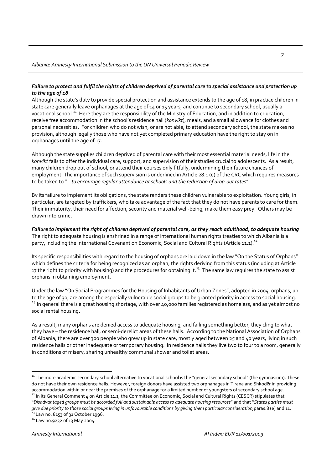#### Failure to protect and fulfil the rights of children deprived of parental care to special assistance and protection up *to the age of 18*

Although the state's duty to provide special protection and assistance extends to the age of 18, in practice children in state care generally leave orphanages at the age of 14 or 15 years, and continue to secondary school, usually a vocational school.[11](#page-6-0) Here they are the responsibility of the Ministry of Education, and in addition to education, receive free accommodation in the school's residence hall (*konvikt*), meals, and a small allowance for clothes and personal necessities. For children who do not wish, or are not able, to attend secondary school, the state makes no provision, although legally those who have not yet completed primary education have the right to stay on in orphanages until the age of 17.

Although the state supplies children deprived of parental care with their most essential material needs, life in the *konvikt* fails to offer the individual care, support, and supervision of their studies crucial to adolescents. As a result, many children drop out of school, or attend their courses only fitfully, undermining their future chances of employment. The importance of such supervision is underlined in Article 28.1 (e) of the CRC which requires measures to be taken to *"…to encourage regular attendance atschools and the reduction of drop‐out rates*".

By its failure to implement its obligations, the state renders these children vulnerable to exploitation. Young girls, in particular, are targeted by traffickers, who take advantage of the fact that they do not have parents to care for them. Their immaturity, their need for affection, security and material well‐being, make them easy prey. Others may be drawn into crime.

Failure to implement the right of children deprived of parental care, as they reach adulthood, to adequate housing The right to adequate housing is enshrined in a range of international human rights treaties to which Albania is a party, including the International Covenant on Economic, Social and Cultural Rights (Article 11.1).<sup>[12](#page-6-1)</sup>

Its specific responsibilities with regard to the housing of orphans are laid down in the law "On the Status of Orphans" which defines the criteria for being recognized as an orphan, the rights deriving from this status (including at Article 17 the right to priority with housing) and the procedures for obtaining it.<sup>[13](#page-6-2)</sup> The same law requires the state to assist orphans in obtaining employment.

Under the law "On Social Programmes for the Housing of Inhabitants of Urban Zones", adopted in 2004, orphans, up to the age of 30, are among the especially vulnerable social groups to be granted priority in access to social housing.<br><sup>[14](#page-6-3)</sup> In general there is a great housing shortage, with over 40,000 families registered as homeless, a social rental housing.

As a result, many orphans are denied access to adequate housing, and failing something better, they cling to what they have – the residence hall, or semi‐derelict areas of these halls. According to the National Association of Orphans of Albania, there are over 300 people who grew up in state care, mostly aged between 25 and 40 years, living in such residence halls or other inadequate or temporary housing. In residence halls they live two to four to a room, generally in conditions of misery, sharing unhealthy communal shower and toilet areas.

<span id="page-6-1"></span>"Disadvantaged groups must be accorded full and sustainable access to adeguate housing resources" and that "States parties must give due priority to those social groups living in unfavourable conditions by giving them particular consideration, paras.8 (e) and 11.<br><sup>13</sup> Law no. 8153 of 31 October 1996.<br><sup>14</sup> Law no.9232 of 13 May 2004.

<span id="page-6-3"></span><span id="page-6-2"></span>

<span id="page-6-0"></span><sup>&</sup>lt;sup>11</sup> The more academic secondary school alternative to vocational school is the "general secondary school" (the gymnasium). These do not have their own residence halls. However, foreign donors have assisted two orphanages in Tirana and Shkodёr in providing accommodation within or near the premises of the orphanage for a limited number of youngsters of secondary school age.<br><sup>12</sup> In its General Comment 4 on Article 11.1, the Committee on Economic, Social and Cultural Rights (C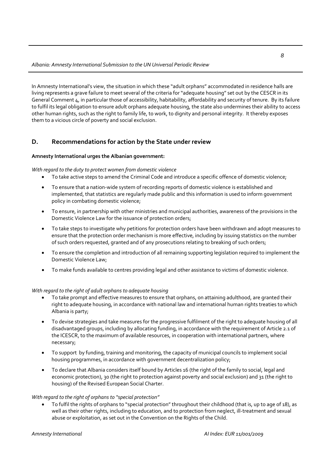In Amnesty International's view, the situation in which these "adult orphans" accommodated in residence halls are living represents a grave failure to meet several of the criteria for "adequate housing" set out by the CESCR in its General Comment  $4$ , in particular those of accessibility, habitability, affordability and security of tenure. By its failure to fulfil its legal obligation to ensure adult orphans adequate housing, the state also undermines their ability to access other human rights, such as the right to family life, to work, to dignity and personal integrity. It thereby exposes them to a vicious circle of poverty and social exclusion.

#### **D. Recommendations for action by the State under review**

#### **Amnesty International urges the Albanian government:**

#### *With regard to the duty to protect women from domestic violence*

- To take active steps to amend the Criminal Code and introduce a specific offence of domestic violence;
- To ensure that a nation‐wide system of recording reports of domestic violence is established and implemented, that statistics are regularly made public and this information is used to inform government policy in combating domestic violence;
- To ensure, in partnership with other ministries and municipal authorities, awareness of the provisions in the Domestic Violence Law for the issuance of protection orders;
- To take steps to investigate why petitions for protection orders have been withdrawn and adopt measures to ensure that the protection order mechanism is more effective, including by issuing statistics on the number of such orders requested, granted and of any prosecutions relating to breaking of such orders;
- To ensure the completion and introduction of all remaining supporting legislation required to implement the Domestic Violence Law;
- To make funds available to centres providing legal and other assistance to victims of domestic violence.

#### *With regard to the right of adult orphans to adequate housing*

- To take prompt and effective measures to ensure that orphans, on attaining adulthood, are granted their right to adequate housing, in accordance with national law and international human rights treaties to which Albania is party;
- To devise strategies and take measures for the progressive fulfilment of the right to adequate housing of all disadvantaged groups, including by allocating funding, in accordance with the requirement of Article 2.1 of the ICESCR, to the maximum of available resources, in cooperation with international partners, where necessary;
- To support by funding, training and monitoring, the capacity of municipal councils to implement social housing programmes, in accordance with government decentralization policy;
- To declare that Albania considers itself bound by Articles 16 (the right of the family to social, legal and economic protection), 30 (the right to protection against poverty and social exclusion) and 31 (the right to housing) of the Revised European Social Charter.

#### *With regard to the right of orphans to "special protection"*

• To fulfil the rights of orphans to "special protection" throughout their childhood (that is, up to age of 18), as well as their other rights, including to education, and to protection from neglect, ill-treatment and sexual abuse or exploitation, as set out in the Convention on the Rights of the Child.